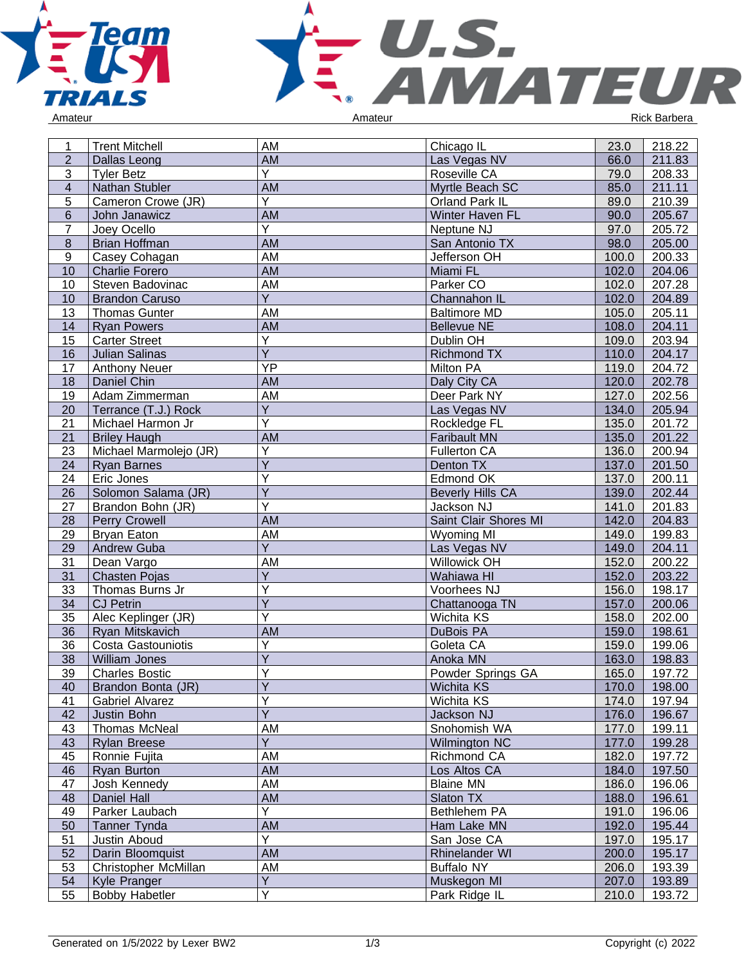



| 1              | <b>Trent Mitchell</b>       | AM                      | Chicago IL              | 23.0  | 218.22               |
|----------------|-----------------------------|-------------------------|-------------------------|-------|----------------------|
| $\overline{2}$ | <b>Dallas Leong</b>         | AM                      | Las Vegas NV            | 66.0  | 211.83               |
| 3              | <b>Tyler Betz</b>           | Y                       | Roseville CA            | 79.0  | 208.33               |
| $\overline{4}$ | Nathan Stubler              | <b>AM</b>               | Myrtle Beach SC         | 85.0  | 211.11               |
| 5              | Cameron Crowe (JR)          | Y                       | Orland Park IL          | 89.0  | 210.39               |
| $6\phantom{1}$ | John Janawicz               | <b>AM</b>               | Winter Haven FL         | 90.0  | 205.67               |
| $\overline{7}$ | Joey Ocello                 | Y                       | Neptune NJ              | 97.0  | 205.72               |
| 8              | <b>Brian Hoffman</b>        | AM                      | San Antonio TX          | 98.0  | 205.00               |
| 9              | Casey Cohagan               | AM                      | Jefferson OH            | 100.0 | 200.33               |
| 10             | <b>Charlie Forero</b>       | AM                      | Miami FL                | 102.0 | 204.06               |
| 10             | Steven Badovinac            | AM                      | Parker CO               | 102.0 | $\overline{207}$ .28 |
| 10             | <b>Brandon Caruso</b>       | Y                       | Channahon IL            | 102.0 | 204.89               |
| 13             | <b>Thomas Gunter</b>        | AM                      | <b>Baltimore MD</b>     | 105.0 | 205.11               |
| 14             | <b>Ryan Powers</b>          | AM                      | <b>Bellevue NE</b>      | 108.0 | 204.11               |
| 15             | <b>Carter Street</b>        | Y                       | Dublin OH               | 109.0 | 203.94               |
| 16             | <b>Julian Salinas</b>       | $\overline{Y}$          | <b>Richmond TX</b>      | 110.0 | 204.17               |
| 17             | <b>Anthony Neuer</b>        | YP                      | Milton PA               | 119.0 | 204.72               |
| 18             | Daniel Chin                 | <b>AM</b>               | Daly City CA            | 120.0 | 202.78               |
| 19             | Adam Zimmerman              | AM                      | Deer Park NY            | 127.0 | 202.56               |
| 20             | Terrance (T.J.) Rock        | Y                       | Las Vegas NV            | 134.0 | 205.94               |
| 21             | Michael Harmon Jr           | Υ                       | Rockledge FL            | 135.0 | 201.72               |
| 21             | <b>Briley Haugh</b>         | <b>AM</b>               | <b>Faribault MN</b>     | 135.0 | 201.22               |
| 23             | Michael Marmolejo (JR)      | Υ                       | <b>Fullerton CA</b>     | 136.0 | 200.94               |
| 24             | <b>Ryan Barnes</b>          | $\overline{\mathsf{Y}}$ | Denton TX               | 137.0 | 201.50               |
| 24             | Eric Jones                  | Y                       | Edmond OK               | 137.0 | 200.11               |
| 26             | Solomon Salama (JR)         | Ÿ                       | <b>Beverly Hills CA</b> | 139.0 | 202.44               |
| 27             | Brandon Bohn (JR)           | Ý                       | Jackson NJ              | 141.0 | 201.83               |
| 28             | Perry Crowell               | AM                      | Saint Clair Shores MI   | 142.0 | 204.83               |
| 29             | Bryan Eaton                 | AM                      | <b>Wyoming MI</b>       | 149.0 | 199.83               |
| 29             | <b>Andrew Guba</b>          | Y                       | Las Vegas NV            | 149.0 | 204.11               |
| 31             | Dean Vargo                  | AM                      | Willowick OH            | 152.0 | 200.22               |
| 31             | Chasten Pojas               | Y                       | Wahiawa HI              | 152.0 | 203.22               |
| 33             | Thomas Burns Jr             | Υ                       | Voorhees NJ             | 156.0 | 198.17               |
| 34             | <b>CJ Petrin</b>            | $\overline{Y}$          | Chattanooga TN          | 157.0 | 200.06               |
| 35             | Alec Keplinger (JR)         | Ý                       | Wichita KS              | 158.0 | 202.00               |
| 36             | Ryan Mitskavich             | <b>AM</b>               | DuBois PA               | 159.0 | 198.61               |
| 36             | Costa Gastouniotis          | Υ                       | Goleta CA               | 159.0 | 199.06               |
| 38             | <b>William Jones</b>        | Ý                       | Anoka MN                | 163.0 | 198.83               |
| 39             | <b>Charles Bostic</b>       | Ý                       | Powder Springs GA       | 165.0 | 197.72               |
| 40             | Brandon Bonta (JR)          | $\overline{Y}$          | Wichita KS              | 170.0 | 198.00               |
| 41             | Gabriel Alvarez             | Ý                       | Wichita KS              | 174.0 | 197.94               |
| 42             | Justin Bohn                 | $\overline{Y}$          | Jackson NJ              | 176.0 | 196.67               |
| 43             | <b>Thomas McNeal</b>        | AM                      | Snohomish WA            | 177.0 | 199.11               |
| 43             | <b>Rylan Breese</b>         | Ÿ                       | <b>Wilmington NC</b>    | 177.0 | 199.28               |
| 45             | Ronnie Fujita               | AM                      | Richmond CA             | 182.0 | 197.72               |
| 46             | Ryan Burton                 | AM                      | Los Altos CA            | 184.0 | 197.50               |
| 47             | Josh Kennedy                | AM                      | <b>Blaine MN</b>        | 186.0 | 196.06               |
| 48             | Daniel Hall                 | AM                      | Slaton TX               | 188.0 | 196.61               |
| 49             | Parker Laubach              | $\overline{Y}$          | Bethlehem PA            | 191.0 | 196.06               |
| 50             | Tanner Tynda                | AM                      | Ham Lake MN             | 192.0 | 195.44               |
| 51             | Justin Aboud                | Y                       | San Jose CA             | 197.0 | 195.17               |
| 52             | Darin Bloomquist            | AM                      | Rhinelander WI          | 200.0 | 195.17               |
| 53             | <b>Christopher McMillan</b> | AM                      | <b>Buffalo NY</b>       | 206.0 | 193.39               |
| 54             | Kyle Pranger                | Υ                       | Muskegon MI             | 207.0 | 193.89               |
| 55             | <b>Bobby Habetler</b>       | $\overline{\mathsf{Y}}$ | Park Ridge IL           | 210.0 | 193.72               |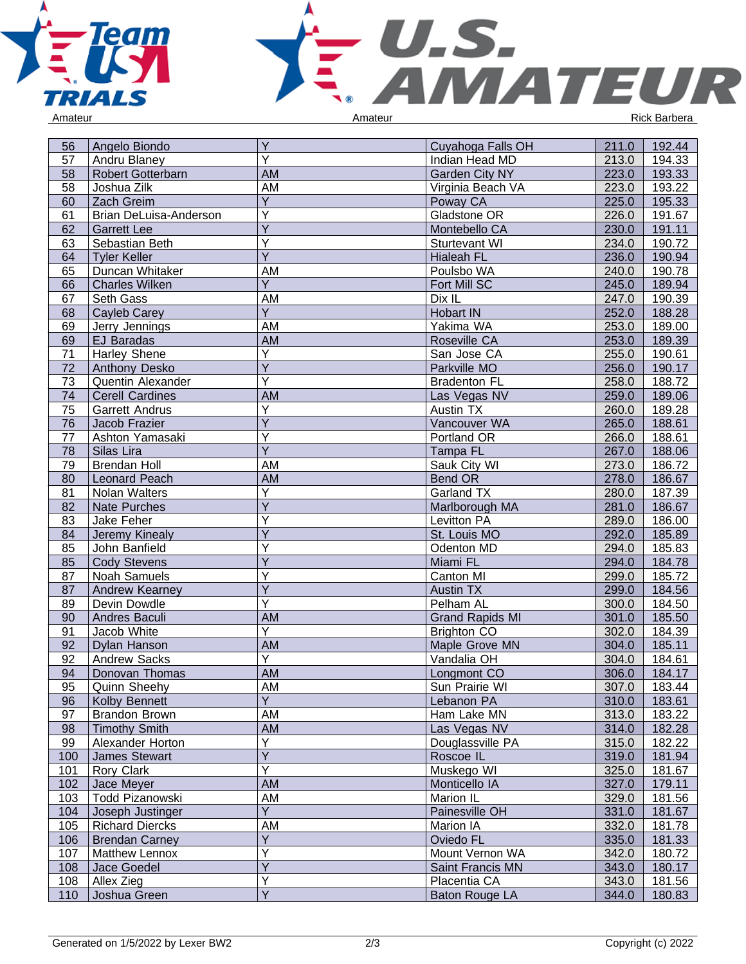



| 56  | Angelo Biondo            | Υ                       | Cuyahoga Falls OH      | 211.0 | 192.44 |
|-----|--------------------------|-------------------------|------------------------|-------|--------|
| 57  | Andru Blaney             | Ý                       | Indian Head MD         | 213.0 | 194.33 |
| 58  | <b>Robert Gotterbarn</b> | <b>AM</b>               | Garden City NY         | 223.0 | 193.33 |
| 58  | Joshua Zilk              | AM                      | Virginia Beach VA      | 223.0 | 193.22 |
| 60  | Zach Greim               | Y                       | Poway CA               | 225.0 | 195.33 |
| 61  | Brian DeLuisa-Anderson   | Ý                       | Gladstone OR           | 226.0 | 191.67 |
| 62  | <b>Garrett Lee</b>       | Ÿ                       | Montebello CA          | 230.0 | 191.11 |
| 63  | Sebastian Beth           | Ý                       | Sturtevant WI          | 234.0 | 190.72 |
| 64  | <b>Tyler Keller</b>      | Ÿ                       | <b>Hialeah FL</b>      | 236.0 | 190.94 |
| 65  | Duncan Whitaker          | AM                      | Poulsbo WA             | 240.0 | 190.78 |
| 66  | <b>Charles Wilken</b>    | $\overline{Y}$          | Fort Mill SC           | 245.0 | 189.94 |
| 67  | Seth Gass                | AM                      | Dix IL                 | 247.0 | 190.39 |
| 68  | Cayleb Carey             | Y                       | <b>Hobart IN</b>       | 252.0 | 188.28 |
| 69  | Jerry Jennings           | AM                      | Yakima WA              | 253.0 | 189.00 |
| 69  | <b>EJ Baradas</b>        | AM                      | Roseville CA           | 253.0 | 189.39 |
| 71  | Harley Shene             | Y                       | San Jose CA            | 255.0 | 190.61 |
| 72  | <b>Anthony Desko</b>     | $\overline{Y}$          | Parkville MO           | 256.0 | 190.17 |
| 73  | Quentin Alexander        | Ÿ                       | <b>Bradenton FL</b>    | 258.0 | 188.72 |
| 74  | <b>Cerell Cardines</b>   | AM                      | Las Vegas NV           | 259.0 | 189.06 |
| 75  | <b>Garrett Andrus</b>    | Y                       | Austin TX              | 260.0 | 189.28 |
| 76  | Jacob Frazier            | $\overline{Y}$          | Vancouver WA           | 265.0 | 188.61 |
| 77  | Ashton Yamasaki          | Y                       | Portland OR            | 266.0 | 188.61 |
| 78  | Silas Lira               | Ÿ                       | Tampa FL               | 267.0 | 188.06 |
| 79  | <b>Brendan Holl</b>      | AM                      | Sauk City WI           | 273.0 | 186.72 |
| 80  | Leonard Peach            | AM                      | Bend OR                | 278.0 | 186.67 |
| 81  | Nolan Walters            | Y                       | Garland TX             | 280.0 | 187.39 |
| 82  | <b>Nate Purches</b>      | Ÿ                       | Marlborough MA         | 281.0 | 186.67 |
| 83  | Jake Feher               | Ý                       | Levitton PA            | 289.0 | 186.00 |
| 84  | Jeremy Kinealy           | Ý                       | St. Louis MO           | 292.0 | 185.89 |
| 85  | John Banfield            | Y                       | Odenton MD             | 294.0 | 185.83 |
| 85  | <b>Cody Stevens</b>      | Ÿ                       | Miami FL               | 294.0 | 184.78 |
| 87  | <b>Noah Samuels</b>      | Y                       | Canton MI              | 299.0 | 185.72 |
| 87  | Andrew Kearney           | Y                       | Austin TX              | 299.0 | 184.56 |
| 89  | Devin Dowdle             | Υ                       | Pelham AL              | 300.0 | 184.50 |
| 90  | Andres Baculi            | AM                      | <b>Grand Rapids MI</b> | 301.0 | 185.50 |
| 91  | Jacob White              | Y                       | <b>Brighton CO</b>     | 302.0 | 184.39 |
| 92  | Dylan Hanson             | AM                      | Maple Grove MN         | 304.0 | 185.11 |
| 92  | <b>Andrew Sacks</b>      | Y                       | Vandalia OH            | 304.0 | 184.61 |
| 94  | Donovan Thomas           | <b>AM</b>               | Longmont CO            | 306.0 | 184.17 |
| 95  | Quinn Sheehy             | AM                      | Sun Prairie WI         | 307.0 | 183.44 |
| 96  | <b>Kolby Bennett</b>     | $\overline{Y}$          | Lebanon PA             | 310.0 | 183.61 |
| 97  | <b>Brandon Brown</b>     | AM                      | Ham Lake MN            | 313.0 | 183.22 |
| 98  | <b>Timothy Smith</b>     | AM                      | Las Vegas NV           | 314.0 | 182.28 |
| 99  | Alexander Horton         | Υ                       | Douglassville PA       | 315.0 | 182.22 |
| 100 | James Stewart            | $\overline{\mathsf{Y}}$ | Roscoe IL              | 319.0 | 181.94 |
| 101 | Rory Clark               | Ý                       | Muskego WI             | 325.0 | 181.67 |
| 102 | Jace Meyer               | AM                      | Monticello IA          | 327.0 | 179.11 |
| 103 | Todd Pizanowski          | AM                      | Marion IL              | 329.0 | 181.56 |
| 104 | Joseph Justinger         | $\overline{Y}$          | Painesville OH         | 331.0 | 181.67 |
| 105 | <b>Richard Diercks</b>   | AM                      | Marion IA              | 332.0 | 181.78 |
| 106 | <b>Brendan Carney</b>    | Y                       | Oviedo FL              | 335.0 | 181.33 |
| 107 |                          | Y                       | Mount Vernon WA        | 342.0 |        |
|     | Matthew Lennox           | Y                       | Saint Francis MN       |       | 180.72 |
| 108 | Jace Goedel              | Υ                       | Placentia CA           | 343.0 | 180.17 |
| 108 | Allex Zieg               | $\overline{\mathsf{Y}}$ |                        | 343.0 | 181.56 |
| 110 | Joshua Green             |                         | Baton Rouge LA         | 344.0 | 180.83 |